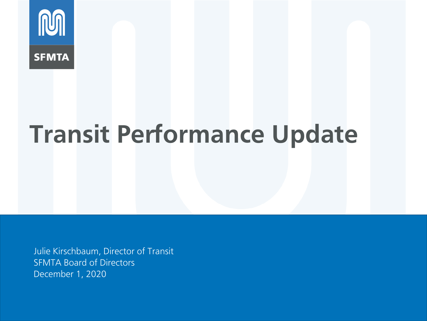

# **Transit Performance Update**

Julie Kirschbaum, Director of Transit SFMTA Board of Directors December 1, 2020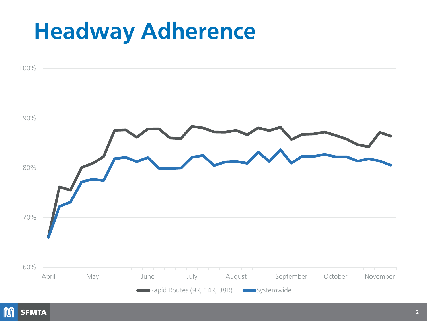#### **Headway Adherence**



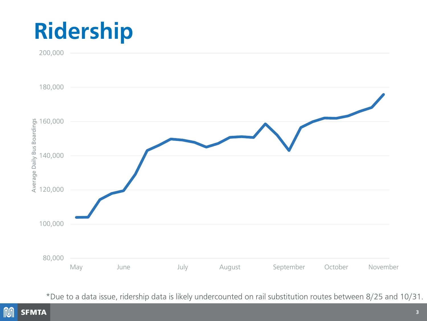## **Ridership**



\*Due to a data issue, ridership data is likely undercounted on rail substitution routes between 8/25 and 10/31.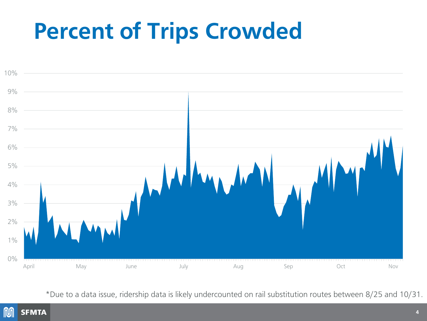### **Percent of Trips Crowded**



\*Due to a data issue, ridership data is likely undercounted on rail substitution routes between 8/25 and 10/31.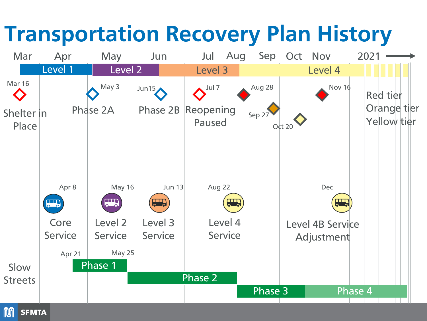### **Transportation Recovery Plan History**

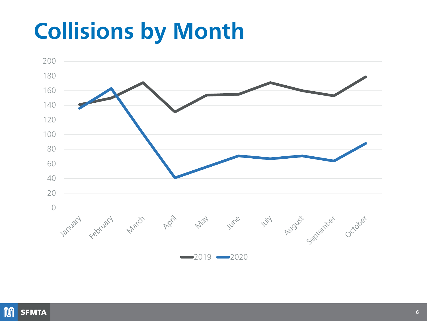### **Collisions by Month**



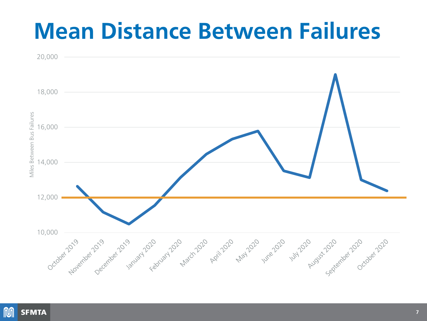#### **Mean Distance Between Failures**



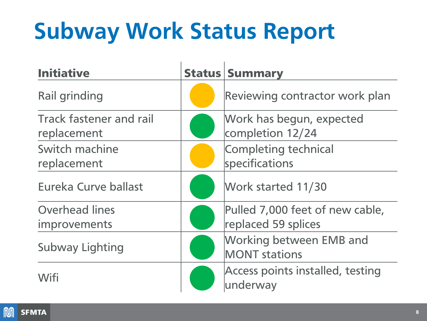# **Subway Work Status Report**

| <b>Initiative</b>                             | <b>Status   Summary</b>                                |
|-----------------------------------------------|--------------------------------------------------------|
| <b>Rail grinding</b>                          | Reviewing contractor work plan                         |
| <b>Track fastener and rail</b><br>replacement | Work has begun, expected<br>completion 12/24           |
| Switch machine<br>replacement                 | Completing technical<br>specifications                 |
| Eureka Curve ballast                          | Work started 11/30                                     |
| <b>Overhead lines</b><br>improvements         | Pulled 7,000 feet of new cable,<br>replaced 59 splices |
| <b>Subway Lighting</b>                        | <b>Working between EMB and</b><br><b>MONT</b> stations |
| Wifi                                          | Access points installed, testing<br>underway           |